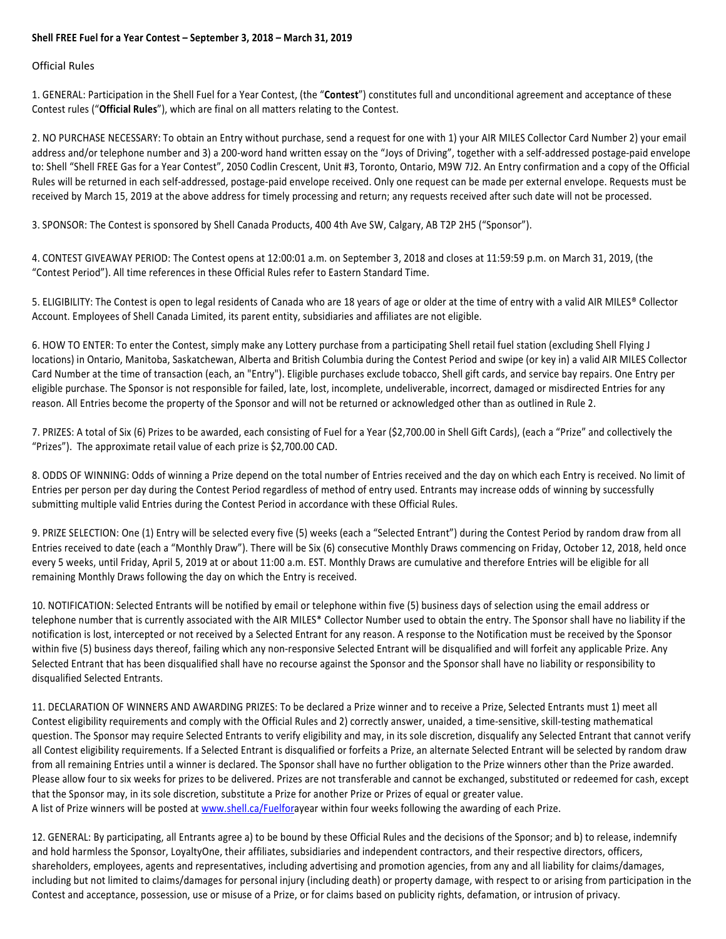## **Shell FREE Fuel for a Year Contest – September 3, 2018 – March 31, 2019**

## Official Rules

1. GENERAL: Participation in the Shell Fuel for a Year Contest, (the "**Contest**") constitutes full and unconditional agreement and acceptance of these Contest rules ("**Official Rules**"), which are final on all matters relating to the Contest.

2. NO PURCHASE NECESSARY: To obtain an Entry without purchase, send a request for one with 1) your AIR MILES Collector Card Number 2) your email address and/or telephone number and 3) a 200-word hand written essay on the "Joys of Driving", together with a self-addressed postage-paid envelope to: Shell "Shell FREE Gas for a Year Contest", 2050 Codlin Crescent, Unit #3, Toronto, Ontario, M9W 7J2. An Entry confirmation and a copy of the Official Rules will be returned in each self-addressed, postage-paid envelope received. Only one request can be made per external envelope. Requests must be received by March 15, 2019 at the above address for timely processing and return; any requests received after such date will not be processed.

3. SPONSOR: The Contest is sponsored by Shell Canada Products, 400 4th Ave SW, Calgary, AB T2P 2H5 ("Sponsor").

4. CONTEST GIVEAWAY PERIOD: The Contest opens at 12:00:01 a.m. on September 3, 2018 and closes at 11:59:59 p.m. on March 31, 2019, (the "Contest Period"). All time references in these Official Rules refer to Eastern Standard Time.

5. ELIGIBILITY: The Contest is open to legal residents of Canada who are 18 years of age or older at the time of entry with a valid AIR MILES® Collector Account. Employees of Shell Canada Limited, its parent entity, subsidiaries and affiliates are not eligible.

6. HOW TO ENTER: To enter the Contest, simply make any Lottery purchase from a participating Shell retail fuel station (excluding Shell Flying J locations) in Ontario, Manitoba, Saskatchewan, Alberta and British Columbia during the Contest Period and swipe (or key in) a valid AIR MILES Collector Card Number at the time of transaction (each, an "Entry"). Eligible purchases exclude tobacco, Shell gift cards, and service bay repairs. One Entry per eligible purchase. The Sponsor is not responsible for failed, late, lost, incomplete, undeliverable, incorrect, damaged or misdirected Entries for any reason. All Entries become the property of the Sponsor and will not be returned or acknowledged other than as outlined in Rule 2.

7. PRIZES: A total of Six (6) Prizes to be awarded, each consisting of Fuel for a Year (\$2,700.00 in Shell Gift Cards), (each a "Prize" and collectively the "Prizes"). The approximate retail value of each prize is \$2,700.00 CAD.

8. ODDS OF WINNING: Odds of winning a Prize depend on the total number of Entries received and the day on which each Entry is received. No limit of Entries per person per day during the Contest Period regardless of method of entry used. Entrants may increase odds of winning by successfully submitting multiple valid Entries during the Contest Period in accordance with these Official Rules.

9. PRIZE SELECTION: One (1) Entry will be selected every five (5) weeks (each a "Selected Entrant") during the Contest Period by random draw from all Entries received to date (each a "Monthly Draw"). There will be Six (6) consecutive Monthly Draws commencing on Friday, October 12, 2018, held once every 5 weeks, until Friday, April 5, 2019 at or about 11:00 a.m. EST. Monthly Draws are cumulative and therefore Entries will be eligible for all remaining Monthly Draws following the day on which the Entry is received.

10. NOTIFICATION: Selected Entrants will be notified by email or telephone within five (5) business days of selection using the email address or telephone number that is currently associated with the AIR MILES\* Collector Number used to obtain the entry. The Sponsor shall have no liability if the notification is lost, intercepted or not received by a Selected Entrant for any reason. A response to the Notification must be received by the Sponsor within five (5) business days thereof, failing which any non-responsive Selected Entrant will be disqualified and will forfeit any applicable Prize. Any Selected Entrant that has been disqualified shall have no recourse against the Sponsor and the Sponsor shall have no liability or responsibility to disqualified Selected Entrants.

11. DECLARATION OF WINNERS AND AWARDING PRIZES: To be declared a Prize winner and to receive a Prize, Selected Entrants must 1) meet all Contest eligibility requirements and comply with the Official Rules and 2) correctly answer, unaided, a time-sensitive, skill-testing mathematical question. The Sponsor may require Selected Entrants to verify eligibility and may, in its sole discretion, disqualify any Selected Entrant that cannot verify all Contest eligibility requirements. If a Selected Entrant is disqualified or forfeits a Prize, an alternate Selected Entrant will be selected by random draw from all remaining Entries until a winner is declared. The Sponsor shall have no further obligation to the Prize winners other than the Prize awarded. Please allow four to six weeks for prizes to be delivered. Prizes are not transferable and cannot be exchanged, substituted or redeemed for cash, except that the Sponsor may, in its sole discretion, substitute a Prize for another Prize or Prizes of equal or greater value. A list of Prize winners will be posted at www.shell.ca/Fuelforayear within four weeks following the awarding of each Prize.

12. GENERAL: By participating, all Entrants agree a) to be bound by these Official Rules and the decisions of the Sponsor; and b) to release, indemnify and hold harmless the Sponsor, LoyaltyOne, their affiliates, subsidiaries and independent contractors, and their respective directors, officers, shareholders, employees, agents and representatives, including advertising and promotion agencies, from any and all liability for claims/damages, including but not limited to claims/damages for personal injury (including death) or property damage, with respect to or arising from participation in the Contest and acceptance, possession, use or misuse of a Prize, or for claims based on publicity rights, defamation, or intrusion of privacy.